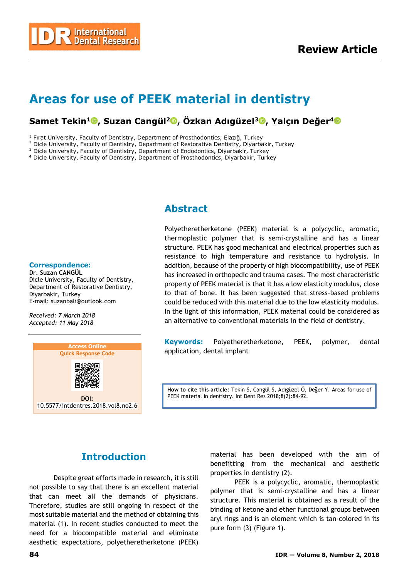# **Areas for use of PEEK material in dentistry**

### **Samet Tekin<sup>1</sup> , Suzan Cangül <sup>2</sup> , Özkan Adıgüzel[3](https://orcid.org/0000-0001-6089-3013) , Yalçın Değer<sup>4</sup>**

 $1$  Firat University, Faculty of Dentistry, Department of Prosthodontics, Elaziğ, Turkey

<sup>2</sup> Dicle University, Faculty of Dentistry, Department of Restorative Dentistry, Diyarbakir, Turkey

<sup>3</sup> Dicle University, Faculty of Dentistry, Department of Endodontics, Diyarbakir, Turkey

<sup>4</sup> Dicle University, Faculty of Dentistry, Department of Prosthodontics, Diyarbakir, Turkey

## **Abstract**

Polyetheretherketone (PEEK) material is a polycyclic, aromatic, thermoplastic polymer that is semi-crystalline and has a linear structure. PEEK has good mechanical and electrical properties such as resistance to high temperature and resistance to hydrolysis. In addition, because of the property of high biocompatibility, use of PEEK has increased in orthopedic and trauma cases. The most characteristic property of PEEK material is that it has a low elasticity modulus, close to that of bone. It has been suggested that stress-based problems could be reduced with this material due to the low elasticity modulus. In the light of this information, PEEK material could be considered as an alternative to conventional materials in the field of dentistry.

**Keywords:** Polyetheretherketone, PEEK, polymer, dental application, dental implant

**How to cite this article:** Tekin S, Cangül S, Adıgüzel Ö, Değer Y. Areas for use of PEEK material in dentistry. Int Dent Res 2018;8(2):84-92.

## **Introduction**

Despite great efforts made in research, it is still not possible to say that there is an excellent material that can meet all the demands of physicians. Therefore, studies are still ongoing in respect of the most suitable material and the method of obtaining this material (1). In recent studies conducted to meet the need for a biocompatible material and eliminate aesthetic expectations, polyetheretherketone (PEEK) material has been developed with the aim of benefitting from the mechanical and aesthetic properties in dentistry (2).

PEEK is a polycyclic, aromatic, thermoplastic polymer that is semi-crystalline and has a linear structure. This material is obtained as a result of the binding of ketone and ether functional groups between aryl rings and is an element which is tan-colored in its pure form (3) (Figure 1).

#### **Correspondence: Dr. Suzan CANGÜL**

Dicle University, Faculty of Dentistry, Department of Restorative Dentistry, Diyarbakir, Turkey E-mail: [suzanbali@outlook.com](mailto:suzanbali@outlook.com)

**De** International<br>**N** Dental Research

*Received: 7 March 2018 Accepted: 11 May 2018*

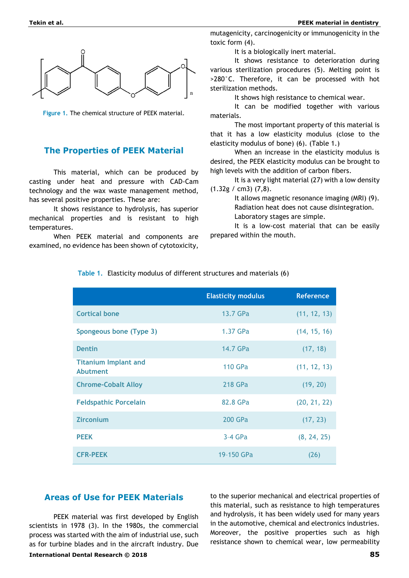

**Figure 1.** The chemical structure of PEEK material.

#### **The Properties of PEEK Material**

This material, which can be produced by casting under heat and pressure with CAD-Cam technology and the wax waste management method, has several positive properties. These are:

It shows resistance to hydrolysis, has superior mechanical properties and is resistant to high temperatures.

When PEEK material and components are examined, no evidence has been shown of cytotoxicity,

mutagenicity, carcinogenicity or immunogenicity in the toxic form (4).

It is a biologically inert material.

It shows resistance to deterioration during various sterilization procedures (5). Melting point is >280°C. Therefore, it can be processed with hot sterilization methods.

It shows high resistance to chemical wear.

It can be modified together with various materials.

The most important property of this material is that it has a low elasticity modulus (close to the elasticity modulus of bone) (6). (Table 1.)

When an increase in the elasticity modulus is desired, the PEEK elasticity modulus can be brought to high levels with the addition of carbon fibers.

It is a very light material (27) with a low density (1.32g / cm3) (7,8).

> It allows magnetic resonance imaging (MRI) (9). Radiation heat does not cause disintegration. Laboratory stages are simple.

It is a low-cost material that can be easily prepared within the mouth.

|                                                | <b>Elasticity modulus</b> | <b>Reference</b> |
|------------------------------------------------|---------------------------|------------------|
| <b>Cortical bone</b>                           | 13.7 GPa                  | (11, 12, 13)     |
| Spongeous bone (Type 3)                        | 1.37 GPa                  | (14, 15, 16)     |
| <b>Dentin</b>                                  | 14.7 GPa                  | (17, 18)         |
| <b>Titanium Implant and</b><br><b>Abutment</b> | <b>110 GPa</b>            | (11, 12, 13)     |
| <b>Chrome-Cobalt Alloy</b>                     | 218 GPa                   | (19, 20)         |
| <b>Feldspathic Porcelain</b>                   | 82.8 GPa                  | (20, 21, 22)     |
| <b>Zirconium</b>                               | <b>200 GPa</b>            | (17, 23)         |
| <b>PEEK</b>                                    | $3-4$ GPa                 | (8, 24, 25)      |
| <b>CFR-PEEK</b>                                | 19-150 GPa                | (26)             |

**Table 1.** Elasticity modulus of different structures and materials (6)

#### **Areas of Use for PEEK Materials**

PEEK material was first developed by English scientists in 1978 (3). In the 1980s, the commercial process was started with the aim of industrial use, such as for turbine blades and in the aircraft industry. Due

**International Dental Research © 2018 85**

to the superior mechanical and electrical properties of this material, such as resistance to high temperatures and hydrolysis, it has been widely used for many years in the automotive, chemical and electronics industries. Moreover, the positive properties such as high resistance shown to chemical wear, low permeability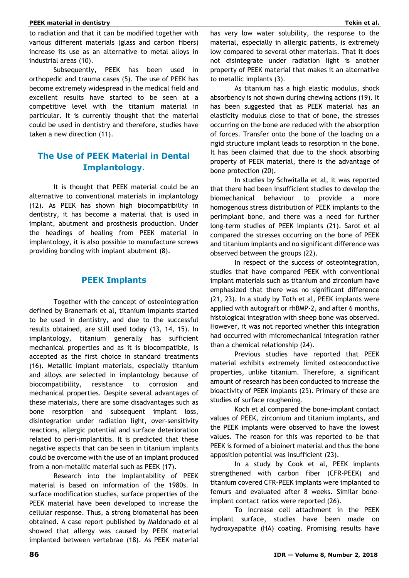#### **PEEK material in dentistry Tekin** et al.

to radiation and that it can be modified together with various different materials (glass and carbon fibers) increase its use as an alternative to metal alloys in industrial areas (10).

Subsequently, PEEK has been used in orthopedic and trauma cases (5). The use of PEEK has become extremely widespread in the medical field and excellent results have started to be seen at a competitive level with the titanium material in particular. It is currently thought that the material could be used in dentistry and therefore, studies have taken a new direction (11).

#### **The Use of PEEK Material in Dental Implantology.**

It is thought that PEEK material could be an alternative to conventional materials in implantology (12). As PEEK has shown high biocompatibility in dentistry, it has become a material that is used in implant, abutment and prosthesis production. Under the headings of healing from PEEK material in implantology, it is also possible to manufacture screws providing bonding with implant abutment (8).

#### **PEEK Implants**

Together with the concept of osteointegration defined by Branemark et al, titanium implants started to be used in dentistry, and due to the successful results obtained, are still used today (13, 14, 15). In implantology, titanium generally has sufficient mechanical properties and as it is biocompatible, is accepted as the first choice in standard treatments (16). Metallic implant materials, especially titanium and alloys are selected in implantology because of biocompatibility, resistance to corrosion and mechanical properties. Despite several advantages of these materials, there are some disadvantages such as bone resorption and subsequent implant loss, disintegration under radiation light, over-sensitivity reactions, allergic potential and surface deterioration related to peri-implantitis. It is predicted that these negative aspects that can be seen in titanium implants could be overcome with the use of an implant produced from a non-metallic material such as PEEK (17).

Research into the implantability of PEEK material is based on information of the 1980s. In surface modification studies, surface properties of the PEEK material have been developed to increase the cellular response. Thus, a strong biomaterial has been obtained. A case report published by Maldonado et al showed that allergy was caused by PEEK material implanted between vertebrae (18). As PEEK material has very low water solubility, the response to the material, especially in allergic patients, is extremely low compared to several other materials. That it does not disintegrate under radiation light is another property of PEEK material that makes it an alternative to metallic implants (3).

As titanium has a high elastic modulus, shock absorbency is not shown during chewing actions (19). It has been suggested that as PEEK material has an elasticity modulus close to that of bone, the stresses occurring on the bone are reduced with the absorption of forces. Transfer onto the bone of the loading on a rigid structure implant leads to resorption in the bone. It has been claimed that due to the shock absorbing property of PEEK material, there is the advantage of bone protection (20).

In studies by Schwitalla et al, it was reported that there had been insufficient studies to develop the biomechanical behaviour to provide a more homogenous stress distribution of PEEK implants to the perimplant bone, and there was a need for further long-term studies of PEEK implants (21). Sarot et al compared the stresses occurring on the bone of PEEK and titanium implants and no significant difference was observed between the groups (22).

In respect of the success of osteointegration, studies that have compared PEEK with conventional implant materials such as titanium and zirconium have emphasized that there was no significant difference (21, 23). In a study by Toth et al, PEEK implants were applied with autograft or rhBMP-2, and after 6 months, histological integration with sheep bone was observed. However, it was not reported whether this integration had occurred with micromechanical integration rather than a chemical relationship (24).

Previous studies have reported that PEEK material exhibits extremely limited osteoconductive properties, unlike titanium. Therefore, a significant amount of research has been conducted to increase the bioactivity of PEEK implants (25). Primary of these are studies of surface roughening.

Koch et al compared the bone-implant contact values of PEEK, zirconium and titanium implants, and the PEEK implants were observed to have the lowest values. The reason for this was reported to be that PEEK is formed of a bioinert material and thus the bone apposition potential was insufficient (23).

In a study by Cook et al, PEEK implants strengthened with carbon fiber (CFR-PEEK) and titanium covered CFR-PEEK implants were implanted to femurs and evaluated after 8 weeks. Similar boneimplant contact ratios were reported (26).

To increase cell attachment in the PEEK implant surface, studies have been made on hydroxyapatite (HA) coating. Promising results have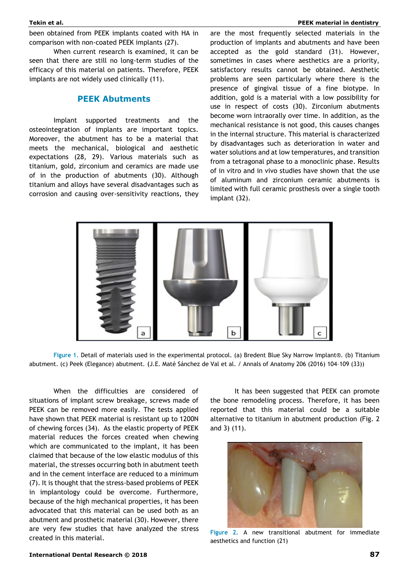#### **Tekin et al. PEEK material in dentistry**

been obtained from PEEK implants coated with HA in comparison with non-coated PEEK implants (27).

When current research is examined, it can be seen that there are still no long-term studies of the efficacy of this material on patients. Therefore, PEEK implants are not widely used clinically (11).

#### **PEEK Abutments**

Implant supported treatments and the osteointegration of implants are important topics. Moreover, the abutment has to be a material that meets the mechanical, biological and aesthetic expectations (28, 29). Various materials such as titanium, gold, zirconium and ceramics are made use of in the production of abutments (30). Although titanium and alloys have several disadvantages such as corrosion and causing over-sensitivity reactions, they are the most frequently selected materials in the production of implants and abutments and have been accepted as the gold standard (31). However, sometimes in cases where aesthetics are a priority, satisfactory results cannot be obtained. Aesthetic problems are seen particularly where there is the presence of gingival tissue of a fine biotype. In addition, gold is a material with a low possibility for use in respect of costs (30). Zirconium abutments become worn intraorally over time. In addition, as the mechanical resistance is not good, this causes changes in the internal structure. This material is characterized by disadvantages such as deterioration in water and water solutions and at low temperatures, and transition from a tetragonal phase to a monoclinic phase. Results of in vitro and in vivo studies have shown that the use of aluminum and zirconium ceramic abutments is limited with full ceramic prosthesis over a single tooth implant (32).



**Figure 1.** Detail of materials used in the experimental protocol. (a) Bredent Blue Sky Narrow Implant®. (b) Titanium abutment. (c) Peek (Elegance) abutment. (J.E. Maté Sánchez de Val et al. / Annals of Anatomy 206 (2016) 104–109 (33))

When the difficulties are considered of situations of implant screw breakage, screws made of PEEK can be removed more easily. The tests applied have shown that PEEK material is resistant up to 1200N of chewing forces (34). As the elastic property of PEEK material reduces the forces created when chewing which are communicated to the implant, it has been claimed that because of the low elastic modulus of this material, the stresses occurring both in abutment teeth and in the cement interface are reduced to a minimum (7). It is thought that the stress-based problems of PEEK in implantology could be overcome. Furthermore, because of the high mechanical properties, it has been advocated that this material can be used both as an abutment and prosthetic material (30). However, there are very few studies that have analyzed the stress created in this material.

It has been suggested that PEEK can promote the bone remodeling process. Therefore, it has been reported that this material could be a suitable alternative to titanium in abutment production (Fig. 2 and 3) (11).



**Figure 2.** A new transitional abutment for immediate aesthetics and function (21)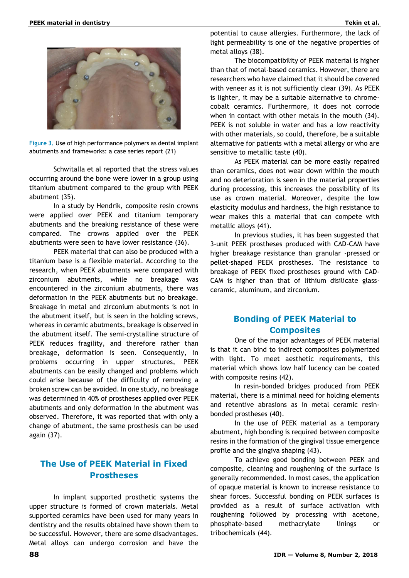

**Figure 3.** Use of high performance polymers as dental implant abutments and frameworks: a case series report (21)

Schwitalla et al reported that the stress values occurring around the bone were lower in a group using titanium abutment compared to the group with PEEK abutment (35).

In a study by Hendrik, composite resin crowns were applied over PEEK and titanium temporary abutments and the breaking resistance of these were compared. The crowns applied over the PEEK abutments were seen to have lower resistance (36).

PEEK material that can also be produced with a titanium base is a flexible material. According to the research, when PEEK abutments were compared with zirconium abutments, while no breakage was encountered in the zirconium abutments, there was deformation in the PEEK abutments but no breakage. Breakage in metal and zirconium abutments is not in the abutment itself, but is seen in the holding screws, whereas in ceramic abutments, breakage is observed in the abutment itself. The semi-crystalline structure of PEEK reduces fragility, and therefore rather than breakage, deformation is seen. Consequently, in problems occurring in upper structures, PEEK abutments can be easily changed and problems which could arise because of the difficulty of removing a broken screw can be avoided. In one study, no breakage was determined in 40% of prostheses applied over PEEK abutments and only deformation in the abutment was observed. Therefore, it was reported that with only a change of abutment, the same prosthesis can be used again (37).

## **The Use of PEEK Material in Fixed Prostheses**

In implant supported prosthetic systems the upper structure is formed of crown materials. Metal supported ceramics have been used for many years in dentistry and the results obtained have shown them to be successful. However, there are some disadvantages. Metal alloys can undergo corrosion and have the potential to cause allergies. Furthermore, the lack of light permeability is one of the negative properties of metal alloys (38).

The biocompatibility of PEEK material is higher than that of metal-based ceramics. However, there are researchers who have claimed that it should be covered with veneer as it is not sufficiently clear (39). As PEEK is lighter, it may be a suitable alternative to chromecobalt ceramics. Furthermore, it does not corrode when in contact with other metals in the mouth (34). PEEK is not soluble in water and has a low reactivity with other materials, so could, therefore, be a suitable alternative for patients with a metal allergy or who are sensitive to metallic taste (40).

As PEEK material can be more easily repaired than ceramics, does not wear down within the mouth and no deterioration is seen in the material properties during processing, this increases the possibility of its use as crown material. Moreover, despite the low elasticity modulus and hardness, the high resistance to wear makes this a material that can compete with metallic alloys (41).

In previous studies, it has been suggested that 3-unit PEEK prostheses produced with CAD-CAM have higher breakage resistance than granular -pressed or pellet-shaped PEEK prostheses. The resistance to breakage of PEEK fixed prostheses ground with CAD-CAM is higher than that of lithium disilicate glassceramic, aluminum, and zirconium.

## **Bonding of PEEK Material to Composites**

One of the major advantages of PEEK material is that it can bind to indirect composites polymerized with light. To meet aesthetic requirements, this material which shows low half lucency can be coated with composite resins (42).

In resin-bonded bridges produced from PEEK material, there is a minimal need for holding elements and retentive abrasions as in metal ceramic resinbonded prostheses (40).

In the use of PEEK material as a temporary abutment, high bonding is required between composite resins in the formation of the gingival tissue emergence profile and the gingiva shaping (43).

To achieve good bonding between PEEK and composite, cleaning and roughening of the surface is generally recommended. In most cases, the application of opaque material is known to increase resistance to shear forces. Successful bonding on PEEK surfaces is provided as a result of surface activation with roughening followed by processing with acetone, phosphate-based methacrylate linings or tribochemicals (44).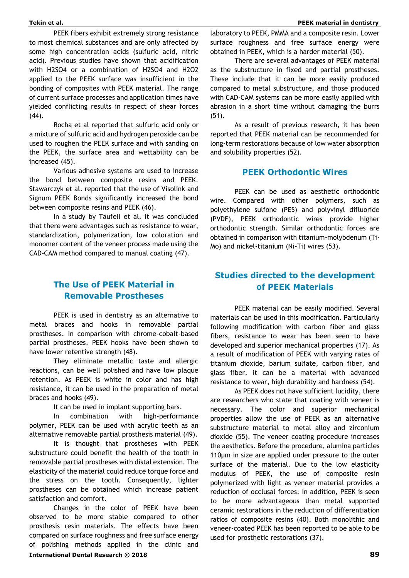PEEK fibers exhibit extremely strong resistance to most chemical substances and are only affected by some high concentration acids (sulfuric acid, nitric acid). Previous studies have shown that acidification with H2SO4 or a combination of H2SO4 and H2O2 applied to the PEEK surface was insufficient in the bonding of composites with PEEK material. The range of current surface processes and application times have yielded conflicting results in respect of shear forces (44).

Rocha et al reported that sulfuric acid only or a mixture of sulfuric acid and hydrogen peroxide can be used to roughen the PEEK surface and with sanding on the PEEK, the surface area and wettability can be increased (45).

Various adhesive systems are used to increase the bond between composite resins and PEEK. Stawarczyk et al. reported that the use of Visolink and Signum PEEK Bonds significantly increased the bond between composite resins and PEEK (46).

In a study by Taufell et al, it was concluded that there were advantages such as resistance to wear, standardization, polymerization, low coloration and monomer content of the veneer process made using the CAD-CAM method compared to manual coating (47).

#### **Tekin et al. PEEK material in dentistry**

laboratory to PEEK, PMMA and a composite resin. Lower surface roughness and free surface energy were obtained in PEEK, which is a harder material (50).

There are several advantages of PEEK material as the substructure in fixed and partial prostheses. These include that it can be more easily produced compared to metal substructure, and those produced with CAD-CAM systems can be more easily applied with abrasion in a short time without damaging the burrs (51).

As a result of previous research, it has been reported that PEEK material can be recommended for long-term restorations because of low water absorption and solubility properties (52).

#### **PEEK Orthodontic Wires**

PEEK can be used as aesthetic orthodontic wire. Compared with other polymers, such as polyethylene sulfone (PES) and polyvinyl difluoride (PVDF), PEEK orthodontic wires provide higher orthodontic strength. Similar orthodontic forces are obtained in comparison with titanium-molybdenum (Ti-Mo) and nickel-titanium (Ni-Ti) wires (53).

#### **The Use of PEEK Material in Removable Prostheses**

PEEK is used in dentistry as an alternative to metal braces and hooks in removable partial prostheses. In comparison with chrome-cobalt-based partial prostheses, PEEK hooks have been shown to have lower retentive strength (48).

They eliminate metallic taste and allergic reactions, can be well polished and have low plaque retention. As PEEK is white in color and has high resistance, it can be used in the preparation of metal braces and hooks (49).

It can be used in implant supporting bars.

In combination with high-performance polymer, PEEK can be used with acrylic teeth as an alternative removable partial prosthesis material (49).

It is thought that prostheses with PEEK substructure could benefit the health of the tooth in removable partial prostheses with distal extension. The elasticity of the material could reduce torque force and the stress on the tooth. Consequently, lighter prostheses can be obtained which increase patient satisfaction and comfort.

**International Dental Research © 2018 89** Changes in the color of PEEK have been observed to be more stable compared to other prosthesis resin materials. The effects have been compared on surface roughness and free surface energy of polishing methods applied in the clinic and

## **Studies directed to the development of PEEK Materials**

PEEK material can be easily modified. Several materials can be used in this modification. Particularly following modification with carbon fiber and glass fibers, resistance to wear has been seen to have developed and superior mechanical properties (17). As a result of modification of PEEK with varying rates of titanium dioxide, barium sulfate, carbon fiber, and glass fiber, it can be a material with advanced resistance to wear, high durability and hardness (54).

As PEEK does not have sufficient lucidity, there are researchers who state that coating with veneer is necessary. The color and superior mechanical properties allow the use of PEEK as an alternative substructure material to metal alloy and zirconium dioxide (55). The veneer coating procedure increases the aesthetics. Before the procedure, alumina particles 110µm in size are applied under pressure to the outer surface of the material. Due to the low elasticity modulus of PEEK, the use of composite resin polymerized with light as veneer material provides a reduction of occlusal forces. In addition, PEEK is seen to be more advantageous than metal supported ceramic restorations in the reduction of differentiation ratios of composite resins (40). Both monolithic and veneer-coated PEEK has been reported to be able to be used for prosthetic restorations (37).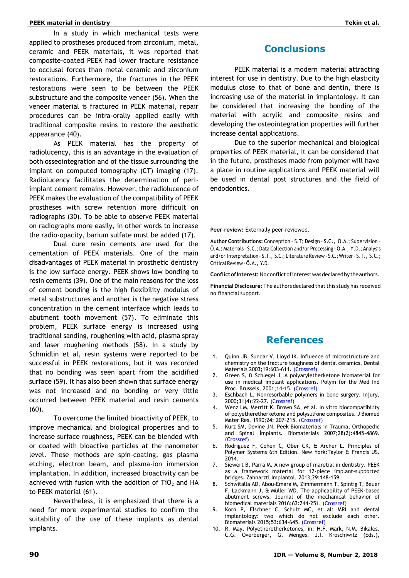In a study in which mechanical tests were applied to prostheses produced from zirconium, metal, ceramic and PEEK materials, it was reported that composite-coated PEEK had lower fracture resistance to occlusal forces than metal ceramic and zirconium restorations. Furthermore, the fractures in the PEEK restorations were seen to be between the PEEK substructure and the composite veneer (56). When the veneer material is fractured in PEEK material, repair procedures can be intra-orally applied easily with traditional composite resins to restore the aesthetic appearance (40).

As PEEK material has the property of radiolucency, this is an advantage in the evaluation of both osseointegration and of the tissue surrounding the implant on computed tomography (CT) imaging (17). Radiolucency facilitates the determination of periimplant cement remains. However, the radiolucence of PEEK makes the evaluation of the compatibility of PEEK prostheses with screw retention more difficult on radiographs (30). To be able to observe PEEK material on radiographs more easily, in other words to increase the radio-opacity, barium sulfate must be added (17).

Dual cure resin cements are used for the cementation of PEEK materials. One of the main disadvantages of PEEK material in prosthetic dentistry is the low surface energy. PEEK shows low bonding to resin cements (39). One of the main reasons for the loss of cement bonding is the high flexibility modulus of metal substructures and another is the negative stress concentration in the cement interface which leads to abutment tooth movement (57). To eliminate this problem, PEEK surface energy is increased using traditional sanding, roughening with acid, plasma spray and laser roughening methods (58). In a study by Schmidlin et al, resin systems were reported to be successful in PEEK restorations, but it was recorded that no bonding was seen apart from the acidified surface (59). It has also been shown that surface energy was not increased and no bonding or very little occurred between PEEK material and resin cements (60).

To overcome the limited bioactivity of PEEK, to improve mechanical and biological properties and to increase surface roughness, PEEK can be blended with or coated with bioactive particles at the nanometer level. These methods are spin-coating, gas plasma etching, electron beam, and plasma-ion immersion implantation. In addition, increased bioactivity can be achieved with fusion with the addition of  $TiO<sub>2</sub>$  and HA to PEEK material (61).

Nevertheless, it is emphasized that there is a need for more experimental studies to confirm the suitability of the use of these implants as dental implants.

#### **Conclusions**

PEEK material is a modern material attracting interest for use in dentistry. Due to the high elasticity modulus close to that of bone and dentin, there is increasing use of the material in implantology. It can be considered that increasing the bonding of the material with acrylic and composite resins and developing the osteointegration properties will further increase dental applications.

Due to the superior mechanical and biological properties of PEEK material, it can be considered that in the future, prostheses made from polymer will have a place in routine applications and PEEK material will be used in dental post structures and the field of endodontics.

**Peer-review:** Externally peer-reviewed.

**Author Contributions:** Conception – S.T; Design – S.C., Ö.A.; Supervision – Ö.A.; Materials – S.C.; Data Collection and/or Processing –Ö.A., Y.D.; Analysis and/or Interpretation - S.T., S.C.; Literature Review - S.C.; Writer - S.T., S.C.; Critical Review–Ö.A., Y.D.

**ConflictofInterest:** Noconflictofinterestwasdeclaredbytheauthors.

**FinancialDisclosure:**The authors declared thatthis study has received no financial support.

## **References**

- 1. Quinn JB, Sundar V, Lloyd IK. Influence of microstructure and chemistry on the fracture toughness of dental ceramics. Dental Materials 2003;19:603-611. [\(Crossref\)](https://doi.org/10.1016/S0109-5641(03)00002-2)
- 2. Green S, & Schlegel J. A polyaryletherketone biomaterial for use in medical implant applications. Polym for the Med Ind Proc, Brussels, 2001;14-15. [\(Crossref\)](http://www.medicalpeek.org/pdf/Green_RAPRA_2001.pdf)
- 3. Eschbach L. Nonresorbable polymers in bone surgery. Injury, 2000;31(4):22-27. [\(Crossref\)](https://doi.org/10.1016/j.joen.2014.05.006)
- 4. Wenz LM, Merritt K, Brown SA, et al. In vitro biocompatibility of polyetheretherketone and polysulfone composites. J Biomed Mater Res. 1990;24: 207–215. [\(Crossref\)](https://doi.org/10.1002/jbm.820240207)
- 5. Kurz SM, Devine JN. Peek Biomaterials in Trauma, Orthopedic and Spinal İmplants. Biomaterials 2007;28(2):4845-4869. [\(Crossref\)](https://doi.org/10.1016/j.biomaterials.2007.07.013)
- 6. Rodriguez F, Cohen C, Ober CK, & Archer L. Principles of Polymer Systems 6th Edition. New York:Taylor & Francis US. 2014.
- 7. Siewert B, Parra M. A new group of maretial in dentistry. PEEK as a framework material for 12-piece implant-supported bridges. Zahnarztl Implantol. 2013;29:148-159.
- 8. Schwitalla AD, Abou-Emara M, Zimmermann T, Spintig T, Beuer F, Lackmann J, & Müller WD. The applicability of PEEK-based abutment screws. Journal of the mechanical behavior of biomedical materials 2016;63:244-251. [\(Crossref\)](https://doi.org/10.1016/j.joen.2014.05.006)
- 9. Korn P, Elschner C, Schulz MC, et al: MRI and dental implantology: two which do not exclude each other. Biomaterials 2015;53:634-645. [\(Crossref\)](https://doi.org/10.1016/j.biomaterials.2015.02.114)
- 10. R. May, Polyetheretherketones, in: H.F. Mark, N.M. Bikales, C.G. Overberger, G. Menges, J.I. Kroschiwitz (Eds.),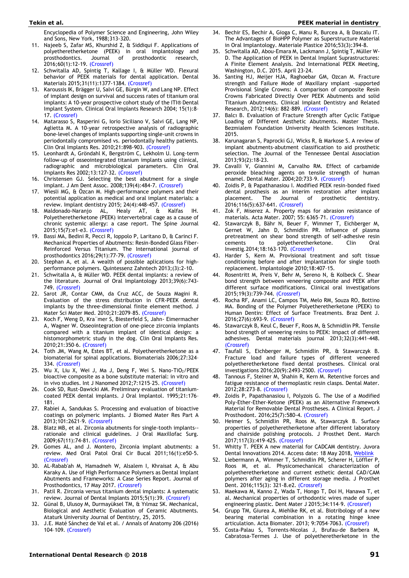Encyclopedia of Polymer Science and Engineering, John Wiley and Sons, New York, 1988;313-320.

- 11. Najeeb S, Zafar MS, Khurshid Z, & Siddiqui F. Applications of polyetheretherketone (PEEK) in oral implantology and prosthodontics. Journal of prosthodontic research, 2016;60(1):12-19. [\(Crossref\)](https://doi.org/10.1016/j.jpor.2015.10.001)
- 12. Schwitalla AD, Spintig T, Kallage I, & Müller WD. Flexural behavior of PEEK materials for dental application. Dental Materials 2015;31(11):1377-1384. [\(Crossref\)](https://doi.org/10.1016/j.dental.2015.08.151)
- 13. Karoussis IK, Brägger U, Salvi GE, Bürgin W, and Lang NP. Effect of implant design on survival and success rates of titanium oral implants: A 10-year prospective cohort study of the ITI® Dental Implant System. Clinical Oral Implants Research 2004; 15(1):8– 17. [\(Crossref\)](https://doi.org/10.1111/j.1600-0501.2004.00983.x)
- 14. Matarasso S, Rasperini G, Iorio Siciliano V, Salvi GE, Lang NP, Aglietta M. A 10-year retrospective analysis of radiographic bone-level changes of implants supporting single-unit crowns in periodontally compromised vs. periodontally healthy patients. Clin Oral Implants Res. 2010;21:898-903. [\(Crossref\)](https://doi.org/10.1111/j.1600-0501.2010.01945.x)
- 15. Leonhardt A, Gröndahl K, Bergström C, Lekholm U. Long-term follow-up of osseointegrated titanium implants using clinical, radiographic and microbiological parameters. Clin Oral Implants Res 2002;13:127-32. [\(Crossref\)](https://doi.org/10.1034/j.1600-0501.2002.130202.x)
- 16. Christensen GJ. Selecting the best abutment for a single implant. J Am Dent Assoc. 2008;139(4):484-7. [\(Crossref\)](https://doi.org/10.14219/jada.archive.1998.0248)
- 17. Wiesli MG, & Özcan M. High-performance polymers and their potential application as medical and oral implant materials: a review. Implant dentistry 2015; 24(4):448-457. [\(Crossref\)](https://doi.org/10.1097/ID.0000000000000285)
- 18. Maldonado-Naranjo AL, Healy AT, & Kalfas IH. Polyetheretherketone (PEEK) intervertebral cage as a cause of chronic systemic allergy: a case report. The Spine Journal 2015;15(7):e1-e3. [\(Crossref\)](https://doi.org/10.1016/j.spinee.2015.04.011)
- 19. Bassi MA, Bedini R, Pecci R, Ioppolo P, Laritano D, & Carinci F. Mechanical Properties of Abutments: Resin-Bonded Glass Fiber-Reinforced Versus Titanium. The International journal of prosthodontics 2016;29(1):77-79. [\(Crossref\)](https://doi.org/10.11607/ijp.4169)
- 20. Stephan A, et al. A wealth of possible aplications for highperformance polymers. Quintessenz Zahntech 2013;(3):2-10.
- 21. Schwitalla A, & Müller WD. PEEK dental implants: a review of the literature. Journal of Oral Implantology 2013;39(6):743- 749. [\(Crossref\)](https://doi.org/10.1563/AAID-JOI-D-11-00002)
- 22. Sarot JR, Contar CMM, da Cruz ACC, de Souza Magini R. Evaluation of the stress distribution in CFR-PEEK dental implants by the three-dimensional finite element method. J Mater Sci Mater Med. 2010;21:2079–85. [\(Crossref\)](https://doi.org/10.1007/s10856-010-4084-7)
- 23. Koch F, Weng D, Kra¨mer S, Biesterfeld S, Jahn- Eimermacher A, Wagner W. Osseointegration of one-piece zirconia implants compared with a titanium implant of identical design: a histomorphometric study in the dog. Clin Oral Implants Res. 2010;21:350–6. [\(Crossref\)](https://doi.org/10.1111/j.1600-0501.2009.01832.x)
- 24. Toth JM, Wang M, Estes BT, et al. Polyetheretherketone as a biomaterial for spinal applications. Biomaterials 2006;27:324– 334. [\(Crossref\)](https://doi.org/10.1016/j.biomaterials.2005.07.011)
- 25. Wu X, Liu X, Wei J, Ma J, Deng F, Wei S. Nano-TiO<sub>2</sub>/PEEK bioactive composite as a bone substitute material: in vitro and in vivo studies. Int J Nanomed 2012;7:1215–25. [\(Crossref\)](https://doi.org/10.2147/IJN.S28101)
- 26. Cook SD, Rust-Dawicki AM. Preliminary evaluation of titaniumcoated PEEK dental implants. J Oral Implantol. 1995;21:176– 181.
- 27. Rabiei A, Sandukas S. Processing and evaluation of bioactive coatings on polymeric implants. J Biomed Mater Res Part A 2013;101:2621–9. [\(Crossref\)](https://doi.org/10.1002/jbm.a.34557)
- 28. Blatz MB, et al. Zirconia abutments for single-tooth implants- rationale and clinical guidelines. J Oral Maxillofac Surg. 2009;67(11):74-81. [\(Crossref\)](https://doi.org/10.1016/j.joms.2009.07.011)
- 29. Gomes AL, and J. Montero, Zirconia implant abutments: a review. Med Oral Patol Oral Cir Bucal 2011;16(1):e50-5. [\(Crossref\)](https://doi.org/10.4317/medoral.16.e50)
- 30. AL‐Rabab'ah M, Hamadneh W, Alsalem I, Khraisat A, & Abu Karaky A. Use of High Performance Polymers as Dental Implant Abutments and Frameworks: A Case Series Report. Journal of Prosthodontics, 17 May 2017. [\(Crossref\)](https://doi.org/10.1111/jopr.12639)
- 31. Patil R. Zirconia versus titanium dental implants: A systematic review. Journal of Dental Implants 2015;5(1):39. [\(Crossref\)](https://doi.org/10.4103/0974-6781.154430)
- 32. Günal B, Ulusoy M, Durmayüksel TM, & Yılmaz SK. Mechanical, Biological and Aesthetic Evaluation of Ceramic Abutments. Ataturk University Journal of Dentistry, 25, 2015.
- 33. J.E. Maté Sánchez de Val et al. / Annals of Anatomy 206 (2016) 104–109. [\(Crossref\)](https://doi.org/10.1016/j.aanat.2016.03.005)
- 34. Bechir ES, Bechir A, Gioga C, Manu R, Burcea A, & Dascalu IT. The Advantages of BioHPP Polymer as Superstructure Material in Oral Implantology. Materiale Plastice 2016;53(3):394-8.
- 35. Schwitalla AD, Abou-Emara M, Lackmann J, Spintig T, Müller W-D. The Application of PEEK in Dental Implant Suprastructures: A Finite Element Analysis. 2nd International PEEK Meeting, Washington, D.C. 2015. April 23-24.
- 36. Santing HJ, Meijer HJA, Raghoebar GM, Ozcan M. Fracture strength and Failure Mode of Maxillary ımplant -supported Provisional Single Crowns: A comparison of composite Resin Crowns Fabricated Directly Over PEEK Abutments and solid Titanium Abutments. Clinical Implant Dentistry and Related Research, 2012;14(6): 882–889. [\(Crossref\)](https://doi.org/10.1111/j.1708-8208.2010.00322.x)
- 37. Balcı B. Evaluation of Fracture Strength after Cyclic Fatigue Loading of Different Aesthetic Abutments. Master Thesis. Bezmialem Foundation University Health Sciences Institute. 2015.
- 38. Karunagaran S, Paprocki GJ, Wicks R, & Markose S. A review of implant abutments-abutment classification to aid prosthetic selection. The Journal of the Tennessee Dental Association 2013;93(2):18-23.
- 39. Cavalli V, Giannini M, Carvalho RM. Effect of carbamide peroxide bleaching agents on tensile strength of human enamel. Dental Mater. 2004;20:733–9. [\(Crossref\)](https://doi.org/10.1016/j.dental.2003.10.007)
- 40. Zoidis P, & Papathanasiou I. Modified PEEK resin-bonded fixed dental prosthesis as an interim restoration after implant placement. The Journal of prosthetic dentistry. 2016;116(5):637-641. [\(Crossref\)](https://doi.org/10.1016/j.prosdent.2016.04.024)
- 41. Zok F, Miserez A. Property maps for abrasion resistance of materials. Acta Mater. 2007; 55: 6365–71. [\(Crossref\)](https://doi.org/10.1016/j.actamat.2007.07.042)
- 42. Stawarczyk B, Bähr N, Beuer F, Wimmer T, Eichberger M, Gernet W, Jahn D, Schmidlin PR. Influence of plasma pretreatment on shear bond strength of self-adhesive resin cements to polyetheretherketone. Clin Oral Investig.2014;18:163–170. [\(Crossref\)](https://doi.org/10.1007/s00784-013-0966-7)
- 43. Harder S, Kern M. Provisional treatment and soft tissue conditioning before and after implantation for single tooth replacement. Implantologie 2010;18:407–15.
- 44. Rosentritt M, Preis V, Behr M, Sereno N, & Kolbeck C. Shear bond strength between veneering composite and PEEK after different surface modifications. Clinical oral investigations 2015;19(3):739-744. [\(Crossref\)](https://doi.org/10.1007/s00784-014-1294-2)
- 45. Rocha RF, Anami LC, Campos TM, Melo RM, Souza RO, Bottino MA. Bonding of the Polymer Polyetheretherketone (PEEK) to Human Dentin: Effect of Surface Treatments. Braz Dent J. 2016;27(6):693-9. [\(Crossref\)](https://doi.org/10.1590/0103-6440201600796)
- 46. Stawarczyk B, Keul C, Beuer F, Roos M, & Schmidlin PR. Tensile bond strength of veneering resins to PEEK: Impact of different adhesives. Dental materials journal 2013;32(3):441-448. [\(Crossref\)](https://doi.org/10.4012/dmj.2013-011)
- 47. Taufall S, Eichberger M, Schmidlin PR, & Stawarczyk B. Fracture load and failure types of different veneered polyetheretherketone fixed dental prostheses. Clinical oral investigations 2016;20(9):2493-2500. [\(Crossref\)](https://doi.org/10.1007/s00784-016-1777-4)
- 48. Tannous F, Steiner M, Shahin R, Kern M. Retentive forces and fatigue resistance of thermoplastic resin clasps. Dental Mater. 2012;28:273–8. [\(Crossref\)](https://doi.org/10.1016/j.dental.2011.10.016)
- Zoidis P, Papathanasiou I, Polyzois G. The Use of a Modified Poly-Ether-Ether-Ketone (PEEK) as an Alternative Framework Material for Removable Dental Prostheses. A Clinical Report. J Prosthodont. 2016;25(7):580-4. [\(Crossref\)](https://doi.org/10.1111/jopr.12325)
- 50. Heimer S, Schmidlin PR, Roos M, Stawarczyk B. Surface properties of polyetheretherketone after different laboratory and chairside polishing protocols. J Prosthet Dent. March 2017;117(3):419–425. [\(Crossref\)](https://doi.org/10.1016/j.prosdent.2016.06.016)
- 51. Whitty T. PEEK A new material for CADCAM dentistry. Juvora Dental Innovations 2014. Access date: 18 May 2018, [Weblink](https://juvoradental.com/en/2014/0613/peek-a-new-material-for-cadcam-dentistry)
- 52. Liebermann A, Wimmer T, Schmidlin PR, Scherer H, Löffler P, Roos M, et al. Physicomechanical characterization of polyetheretherketone and current esthetic dental CAD/CAM polymers after aging in different storage media. J Prosthet Dent. 2016;115(3): 321-8.e2. [\(Crossref\)](https://doi.org/10.1016/j.prosdent.2015.09.004)
- 53. Maekawa M, Kanno Z, Wada T, Hongo T, Doi H, Hanawa T, et al. Mechanical properties of orthodontic wires made of super engineering plastic. Dent Mater J 2015;34:114–9. [\(Crossref\)](https://doi.org/10.4012/dmj.2014-202)
- 54. Grupp TM, Giurea A, Miehlke RK, et al. Biotribology of a new bearing material combination in a rotating hinge knee articulation. Acta Biomater. 2013; 9:7054–7063. [\(Crossref\)](https://doi.org/10.1016/j.actbio.2013.02.030)
- 55. Costa-Palau S, Torrents-Nicolas J, Brufau-de Barbera M, Cabratosa-Termes J. Use of polyetheretherketone in the